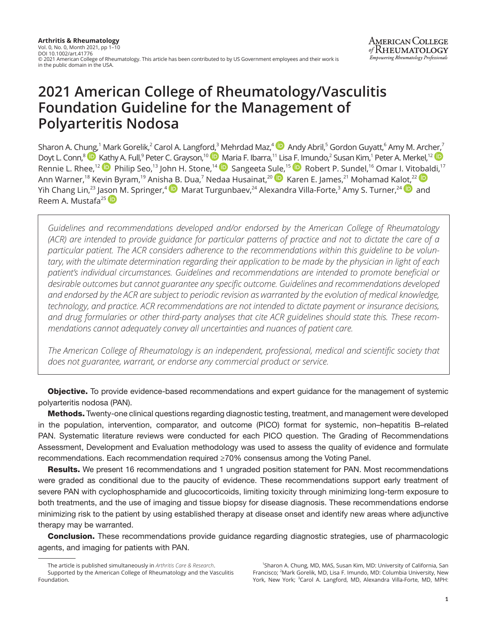# **2021 American College of Rheumatology/Vasculitis Foundation Guideline for the Management of Polyarteritis Nodosa**

Sharon A. Ch[ung,](https://orcid.org/0000-0003-3303-3944)<sup>1</sup> Mark Gorelik,<sup>2</sup> Carol A. Langfo[rd,](https://orcid.org/0000-0002-8269-9438)<sup>3</sup>Mehrdad Maz,<sup>4 (</sup>D) Andy Abril,<sup>5</sup> Gordon Guyatt,<sup>6</sup> Amy M. Arc[her,](https://orcid.org/0000-0001-9284-7345)<sup>7</sup> Doyt L. Conn,<sup>8</sup> D [Kath](https://orcid.org/0000-0002-4907-0304)y A. Full,<sup>9</sup> Peter C. Grayson,<sup>10</sup> D [Ma](https://orcid.org/0000-0001-6588-9435)ria F. Ibarra,<sup>11</sup> Lis[a F. Im](https://orcid.org/0000-0002-5876-376X)undo,<sup>2</sup> Susan Kim,<sup>1</sup> Peter A. Merkel,<sup>12</sup> Rennie L. Rhee,<sup>12</sup> Philip Seo,<sup>13</sup> John H. Stone,<sup>14</sup> D Sangeeta S[ule,](https://orcid.org/0000-0002-9638-2992)<sup>15</sup> D Robert P. Sundel,<sup>16</sup> Omar I. Vit[obal](https://orcid.org/0000-0002-6581-4561)di,<sup>17</sup> Ann Warner,<sup>18</sup> Kevin Byram,<sup>19</sup> Anis[ha B](https://orcid.org/0000-0002-3903-6049). Dua,<sup>7</sup> Nedaa Husainat,<sup>20</sup> D Karen E. James,<sup>21</sup> Mohamad Ka[lot,](https://orcid.org/0000-0001-7695-2022)<sup>22</sup> Yih Chang Lin,<sup>23</sup> Ja[son](https://orcid.org/0000-0002-2091-0875) M. Springer,<sup>4 (D</sup>) Marat Turgunbaev,<sup>24</sup> Alexandra Villa-Forte,<sup>3</sup> Amy S. Turner,<sup>24 (D</sup>) and Reem A. Mustafa<sup>25</sup>

*Guidelines and recommendations developed and/or endorsed by the American College of Rheumatology (ACR) are intended to provide guidance for particular patterns of practice and not to dictate the care of a particular patient. The ACR considers adherence to the recommendations within this guideline to be voluntary, with the ultimate determination regarding their application to be made by the physician in light of each patient's individual circumstances. Guidelines and recommendations are intended to promote beneficial or desirable outcomes but cannot guarantee any specific outcome. Guidelines and recommendations developed and endorsed by the ACR are subject to periodic revision as warranted by the evolution of medical knowledge, technology, and practice. ACR recommendations are not intended to dictate payment or insurance decisions, and drug formularies or other third-party analyses that cite ACR guidelines should state this. These recommendations cannot adequately convey all uncertainties and nuances of patient care.*

*The American College of Rheumatology is an independent, professional, medical and scientific society that does not guarantee, warrant, or endorse any commercial product or service.*

**Objective.** To provide evidence-based recommendations and expert guidance for the management of systemic polyarteritis nodosa (PAN).

Methods. Twenty-one clinical questions regarding diagnostic testing, treatment, and management were developed in the population, intervention, comparator, and outcome (PICO) format for systemic, non–hepatitis B–related PAN. Systematic literature reviews were conducted for each PICO question. The Grading of Recommendations Assessment, Development and Evaluation methodology was used to assess the quality of evidence and formulate recommendations. Each recommendation required ≥70% consensus among the Voting Panel.

**Results.** We present 16 recommendations and 1 ungraded position statement for PAN. Most recommendations were graded as conditional due to the paucity of evidence. These recommendations support early treatment of severe PAN with cyclophosphamide and glucocorticoids, limiting toxicity through minimizing long-term exposure to both treatments, and the use of imaging and tissue biopsy for disease diagnosis. These recommendations endorse minimizing risk to the patient by using established therapy at disease onset and identify new areas where adjunctive therapy may be warranted.

**Conclusion.** These recommendations provide guidance regarding diagnostic strategies, use of pharmacologic agents, and imaging for patients with PAN.

The article is published simultaneously in *Arthritis Care & Research*. Supported by the American College of Rheumatology and the Vasculitis Foundation.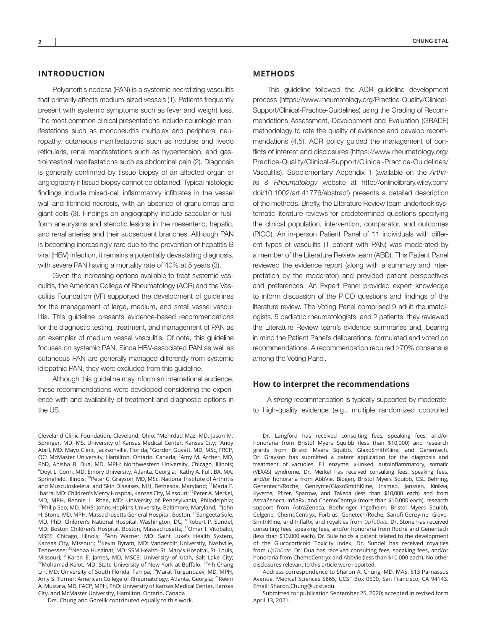# **INTRODUCTION**

Polyarteritis nodosa (PAN) is a systemic necrotizing vasculitis that primarily affects medium-sized vessels (1). Patients frequently present with systemic symptoms such as fever and weight loss. The most common clinical presentations include neurologic manifestations such as mononeuritis multiplex and peripheral neuropathy, cutaneous manifestations such as nodules and livedo reticularis, renal manifestations such as hypertension, and gastrointestinal manifestations such as abdominal pain (2). Diagnosis is generally confirmed by tissue biopsy of an affected organ or angiography if tissue biopsy cannot be obtained. Typical histologic findings include mixed-cell inflammatory infiltrates in the vessel wall and fibrinoid necrosis, with an absence of granulomas and giant cells (3). Findings on angiography include saccular or fusiform aneurysms and stenotic lesions in the mesenteric, hepatic, and renal arteries and their subsequent branches. Although PAN is becoming increasingly rare due to the prevention of hepatitis B viral (HBV) infection, it remains a potentially devastating diagnosis, with severe PAN having a mortality rate of 40% at 5 years (3).

Given the increasing options available to treat systemic vasculitis, the American College of Rheumatology (ACR) and the Vasculitis Foundation (VF) supported the development of guidelines for the management of large, medium, and small vessel vasculitis. This guideline presents evidence-based recommendations for the diagnostic testing, treatment, and management of PAN as an exemplar of medium vessel vasculitis. Of note, this guideline focuses on systemic PAN. Since HBV-associated PAN as well as cutaneous PAN are generally managed differently from systemic idiopathic PAN, they were excluded from this guideline.

Although this guideline may inform an international audience, these recommendations were developed considering the experience with and availability of treatment and diagnostic options in the US.

## **METHODS**

This guideline followed the ACR guideline development process ([https://www.rheumatology.org/Practice-Quality/Clinical-](https://www.rheumatology.org/Practice-Quality/Clinical-Support/Clinical-Practice-Guidelines)[Support/Clinical-Practice-Guidelines](https://www.rheumatology.org/Practice-Quality/Clinical-Support/Clinical-Practice-Guidelines)) using the Grading of Recommendations Assessment, Development and Evaluation (GRADE) methodology to rate the quality of evidence and develop recommendations (4,5). ACR policy guided the management of conflicts of interest and disclosures ([https://www.rheumatology.org/](https://www.rheumatology.org/Practice-Quality/Clinical-Support/Clinical-Practice-Guidelines/Vasculitis) [Practice-Quality/Clinical-Support/Clinical-Practice-Guidelines/](https://www.rheumatology.org/Practice-Quality/Clinical-Support/Clinical-Practice-Guidelines/Vasculitis) [Vasculitis](https://www.rheumatology.org/Practice-Quality/Clinical-Support/Clinical-Practice-Guidelines/Vasculitis)). Supplementary Appendix 1 (available on the *Arthritis & Rheumatology* website at [http://onlinelibrary.wiley.com/](http://onlinelibrary.wiley.com/doi/10.1002/art.41776/abstract) [doi/10.1002/art.41776/abstract](http://onlinelibrary.wiley.com/doi/10.1002/art.41776/abstract)) presents a detailed description of the methods. Briefly, the Literature Review team undertook systematic literature reviews for predetermined questions specifying the clinical population, intervention, comparator, and outcomes (PICO). An in-person Patient Panel of 11 individuals with different types of vasculitis (1 patient with PAN) was moderated by a member of the Literature Review team (ABD). This Patient Panel reviewed the evidence report (along with a summary and interpretation by the moderator) and provided patient perspectives and preferences. An Expert Panel provided expert knowledge to inform discussion of the PICO questions and findings of the literature review. The Voting Panel comprised 9 adult rheumatologists, 5 pediatric rheumatologists, and 2 patients; they reviewed the Literature Review team's evidence summaries and, bearing in mind the Patient Panel's deliberations, formulated and voted on recommendations. A recommendation required ≥70% consensus among the Voting Panel.

#### **How to interpret the recommendations**

A *strong* recommendation is typically supported by moderateto high-quality evidence (e.g., multiple randomized controlled

Cleveland Clinic Foundation, Cleveland, Ohio; <sup>4</sup> Mehrdad Maz, MD, Jason M. Springer, MD, MS: University of Kansas Medical Center, Kansas City; <sup>5</sup>Andy Abril, MD: Mayo Clinic, Jacksonville, Florida; <sup>6</sup>Gordon Guyatt, MD, MSc, FRCP, OC: McMaster University, Hamilton, Ontario, Canada; <sup>7</sup>Amy M. Archer, MD, PhD, Anisha B. Dua, MD, MPH: Northwestern University, Chicago, Illinois; <sup>8</sup>Doyt L. Conn, MD: Emory University, Atlanta, Georgia; <sup>9</sup>Kathy A. Full, BA, MA: Springfield, Illinois; <sup>10</sup>Peter C. Grayson, MD, MSc: National Institute of Arthritis and Musculoskeletal and Skin Diseases, NIH, Bethesda, Maryland; <sup>11</sup>Maria F. Ibarra, MD: Children's Mercy Hospital, Kansas City, Missouri; <sup>12</sup>Peter A. Merkel, MD, MPH, Rennie L. Rhee, MD: University of Pennsylvania, Philadelphia; <sup>13</sup>Philip Seo, MD, MHS: Johns Hopkins University, Baltimore, Maryland; <sup>14</sup>John H. Stone, MD, MPH: Massachusetts General Hospital, Boston; <sup>15</sup>Sangeeta Sule, MD, PhD: Children's National Hospital, Washington, DC; <sup>16</sup>Robert P. Sundel, MD: Boston Children's Hospital, Boston, Massachusetts; <sup>17</sup>Omar I. Vitobaldi, MSEE: Chicago, Illinois; <sup>18</sup>Ann Warner, MD: Saint Luke's Health System, Kansas City, Missouri; <sup>19</sup>Kevin Byram, MD: Vanderbilt University, Nashville, Tennessee; <sup>20</sup>Nedaa Husainat, MD: SSM Health-St. Mary's Hospital, St. Louis, Missouri; <sup>21</sup>Karen E. James, MD, MSCE: University of Utah, Salt Lake City; <sup>22</sup>Mohamad Kalot, MD: State University of New York at Buffalo; <sup>23</sup>Yih Chang Lin, MD: University of South Florida, Tampa; <sup>24</sup>Marat Turgunbaev, MD, MPH, Amy S. Turner: American College of Rheumatology, Atlanta, Georgia; <sup>25</sup>Reem A. Mustafa, MD, FACP, MPH, PhD: University of Kansas Medical Center, Kansas City, and McMaster University, Hamilton, Ontario, Canada

Drs. Chung and Gorelik contributed equally to this work.

Dr. Langford has received consulting fees, speaking fees, and/or honoraria from Bristol Myers Squibb (less than \$10,000) and research grants from Bristol Myers Squibb, GlaxoSmithKline, and Genentech. Dr. Grayson has submitted a patent application for the diagnosis and treatment of vacuoles, E1 enzyme, x-linked, autoinflammatory, somatic (VEXAS) syndrome. Dr. Merkel has received consulting fees, speaking fees, and/or honoraria from AbbVie, Biogen, Bristol Myers Squibb, CSL Behring, Genentech/Roche, Genzyme/GlaxoSmithKline, Insmed, Janssen, Kiniksa, Kyverna, Pfizer, Sparrow, and Takeda (less than \$10,000 each) and from AstraZeneca, InflaRx, and ChemoCentryx (more than \$10,000 each), research support from AstraZeneca, Boehringer Ingelheim, Bristol Myers Squibb, Celgene, ChemoCentryx, Forbius, Genetech/Roche, Sanofi-Genzyme, Glaxo-SmithKline, and InflaRx, and royalties from *UpToDate*. Dr. Stone has received consulting fees, speaking fees, and/or honoraria from Roche and Genentech (less than \$10,000 each). Dr. Sule holds a patent related to the development of the Glucocorticoid Toxicity Index. Dr. Sundel has received royalties from *UpToDate*. Dr. Dua has received consulting fees, speaking fees, and/or honoraria from ChemoCentryx and AbbVie (less than \$10,000 each). No other disclosures relevant to this article were reported.

Address correspondence to Sharon A. Chung, MD, MAS, 513 Parnassus Avenue, Medical Sciences S865, UCSF Box 0500, San Francisco, CA 94143. Email: [Sharon.Chung@ucsf.edu](mailto:Sharon.Chung@ucsf.edu).

Submitted for publication September 25, 2020; accepted in revised form April 13, 2021.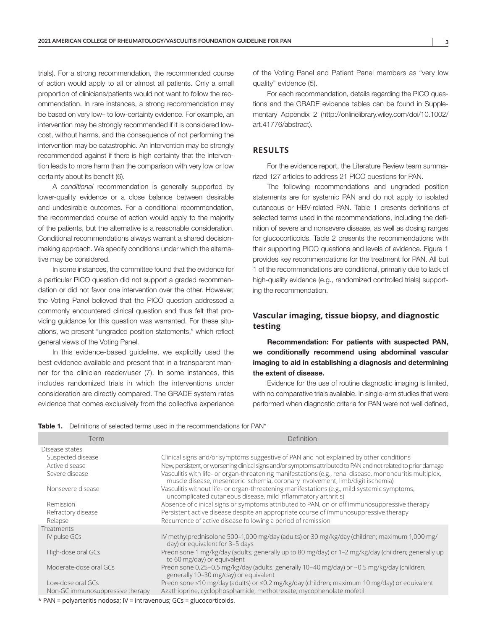trials). For a strong recommendation, the recommended course of action would apply to all or almost all patients. Only a small proportion of clinicians/patients would not want to follow the recommendation. In rare instances, a strong recommendation may be based on very low– to low-certainty evidence. For example, an intervention may be strongly recommended if it is considered lowcost, without harms, and the consequence of not performing the intervention may be catastrophic. An intervention may be strongly recommended against if there is high certainty that the intervention leads to more harm than the comparison with very low or low certainty about its benefit (6).

A *conditional* recommendation is generally supported by lower-quality evidence or a close balance between desirable and undesirable outcomes. For a conditional recommendation, the recommended course of action would apply to the majority of the patients, but the alternative is a reasonable consideration. Conditional recommendations always warrant a shared decisionmaking approach. We specify conditions under which the alternative may be considered.

In some instances, the committee found that the evidence for a particular PICO question did not support a graded recommendation or did not favor one intervention over the other. However, the Voting Panel believed that the PICO question addressed a commonly encountered clinical question and thus felt that providing guidance for this question was warranted. For these situations, we present "ungraded position statements," which reflect general views of the Voting Panel.

In this evidence-based guideline, we explicitly used the best evidence available and present that in a transparent manner for the clinician reader/user (7). In some instances, this includes randomized trials in which the interventions under consideration are directly compared. The GRADE system rates evidence that comes exclusively from the collective experience of the Voting Panel and Patient Panel members as "very low quality" evidence (5).

For each recommendation, details regarding the PICO questions and the GRADE evidence tables can be found in Supplementary Appendix 2 ([http://onlinelibrary.wiley.com/doi/10.1002/](http://onlinelibrary.wiley.com/doi/10.1002/art.41776/abstract) [art.41776/abstract\)](http://onlinelibrary.wiley.com/doi/10.1002/art.41776/abstract).

# **RESULTS**

For the evidence report, the Literature Review team summarized 127 articles to address 21 PICO questions for PAN.

The following recommendations and ungraded position statements are for systemic PAN and do not apply to isolated cutaneous or HBV-related PAN. Table 1 presents definitions of selected terms used in the recommendations, including the definition of severe and nonsevere disease, as well as dosing ranges for glucocorticoids. Table 2 presents the recommendations with their supporting PICO questions and levels of evidence. Figure 1 provides key recommendations for the treatment for PAN. All but 1 of the recommendations are conditional, primarily due to lack of high-quality evidence (e.g., randomized controlled trials) supporting the recommendation.

# **Vascular imaging, tissue biopsy, and diagnostic testing**

Recommendation: For patients with suspected PAN, we conditionally recommend using abdominal vascular imaging to aid in establishing a diagnosis and determining the extent of disease.

Evidence for the use of routine diagnostic imaging is limited, with no comparative trials available. In single-arm studies that were performed when diagnostic criteria for PAN were not well defined,

| <b>Table 1.</b> Definitions of selected terms used in the recommendations for PAN* |  |  |  |  |  |
|------------------------------------------------------------------------------------|--|--|--|--|--|
|------------------------------------------------------------------------------------|--|--|--|--|--|

| Term                             | Definition                                                                                                                                                                                 |
|----------------------------------|--------------------------------------------------------------------------------------------------------------------------------------------------------------------------------------------|
| Disease states                   |                                                                                                                                                                                            |
| Suspected disease                | Clinical signs and/or symptoms suggestive of PAN and not explained by other conditions                                                                                                     |
| Active disease                   | New, persistent, or worsening clinical signs and/or symptoms attributed to PAN and not related to prior damage                                                                             |
| Severe disease                   | Vasculitis with life- or organ-threatening manifestations (e.g., renal disease, mononeuritis multiplex,<br>muscle disease, mesenteric ischemia, coronary involvement, limb/digit ischemia) |
| Nonsevere disease                | Vasculitis without life- or organ-threatening manifestations (e.g., mild systemic symptoms,<br>uncomplicated cutaneous disease, mild inflammatory arthritis)                               |
| Remission                        | Absence of clinical signs or symptoms attributed to PAN, on or off immunosuppressive therapy                                                                                               |
| Refractory disease               | Persistent active disease despite an appropriate course of immunosuppressive therapy                                                                                                       |
| Relapse                          | Recurrence of active disease following a period of remission                                                                                                                               |
| Treatments                       |                                                                                                                                                                                            |
| IV pulse GCs                     | IV methylprednisolone 500-1,000 mg/day (adults) or 30 mg/kg/day (children; maximum 1,000 mg/<br>day) or equivalent for 3-5 days                                                            |
| High-dose oral GCs               | Prednisone 1 mg/kg/day (adults; generally up to 80 mg/day) or 1-2 mg/kg/day (children; generally up<br>to 60 mg/day) or equivalent                                                         |
| Moderate-dose oral GCs           | Prednisone 0.25–0.5 mg/kg/day (adults; generally 10–40 mg/day) or ~0.5 mg/kg/day (children;<br>generally 10-30 mg/day) or equivalent                                                       |
| Low-dose oral GCs                | Prednisone ≤10 mg/day (adults) or ≤0.2 mg/kg/day (children; maximum 10 mg/day) or equivalent                                                                                               |
| Non-GC immunosuppressive therapy | Azathioprine, cyclophosphamide, methotrexate, mycophenolate mofetil                                                                                                                        |

\* PAN = polyarteritis nodosa; IV = intravenous; GCs = glucocorticoids.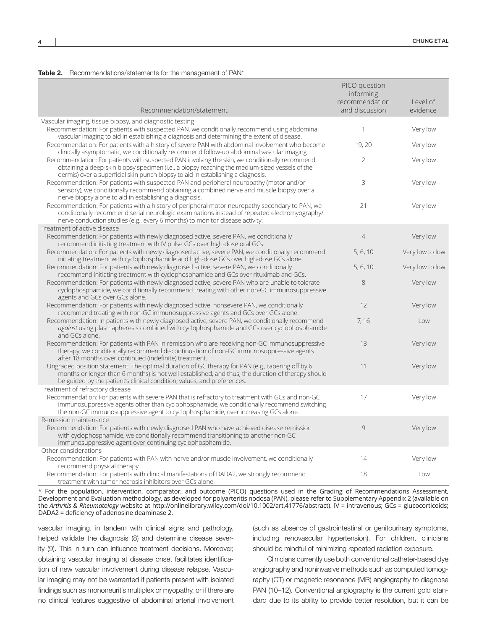#### Table 2. Recommendations/statements for the management of PAN\*

|                                                                                                                                                                                                                                                                                      | PICO question<br>informing<br>recommendation | Level of        |
|--------------------------------------------------------------------------------------------------------------------------------------------------------------------------------------------------------------------------------------------------------------------------------------|----------------------------------------------|-----------------|
| Recommendation/statement                                                                                                                                                                                                                                                             | and discussion                               | evidence        |
| Vascular imaging, tissue biopsy, and diagnostic testing<br>Recommendation: For patients with suspected PAN, we conditionally recommend using abdominal<br>vascular imaging to aid in establishing a diagnosis and determining the extent of disease.                                 | 1                                            | Very low        |
| Recommendation: For patients with a history of severe PAN with abdominal involvement who become<br>clinically asymptomatic, we conditionally recommend follow-up abdominal vascular imaging.                                                                                         | 19, 20                                       | Very low        |
| Recommendation: For patients with suspected PAN involving the skin, we conditionally recommend<br>obtaining a deep-skin biopsy specimen (i.e., a biopsy reaching the medium-sized vessels of the<br>dermis) over a superficial skin punch biopsy to aid in establishing a diagnosis. | $\overline{2}$                               | Very low        |
| Recommendation: For patients with suspected PAN and peripheral neuropathy (motor and/or<br>sensory), we conditionally recommend obtaining a combined nerve and muscle biopsy over a<br>nerve biopsy alone to aid in establishing a diagnosis.                                        | 3                                            | Very low        |
| Recommendation: For patients with a history of peripheral motor neuropathy secondary to PAN, we<br>conditionally recommend serial neurologic examinations instead of repeated electromyography/<br>nerve conduction studies (e.g., every 6 months) to monitor disease activity.      | 21                                           | Very low        |
| Treatment of active disease                                                                                                                                                                                                                                                          |                                              |                 |
| Recommendation: For patients with newly diagnosed active, severe PAN, we conditionally<br>recommend initiating treatment with IV pulse GCs over high-dose oral GCs.                                                                                                                  | $\overline{4}$                               | Very low        |
| Recommendation: For patients with newly diagnosed active, severe PAN, we conditionally recommend<br>initiating treatment with cyclophosphamide and high-dose GCs over high-dose GCs alone.                                                                                           | 5, 6, 10                                     | Very low to low |
| Recommendation: For patients with newly diagnosed active, severe PAN, we conditionally<br>recommend initiating treatment with cyclophosphamide and GCs over rituximab and GCs.                                                                                                       | 5, 6, 10                                     | Very low to low |
| Recommendation: For patients with newly diagnosed active, severe PAN who are unable to tolerate<br>cyclophosphamide, we conditionally recommend treating with other non-GC immunosuppressive<br>agents and GCs over GCs alone.                                                       | 8                                            | Very low        |
| Recommendation: For patients with newly diagnosed active, nonsevere PAN, we conditionally<br>recommend treating with non-GC immunosuppressive agents and GCs over GCs alone.                                                                                                         | 12                                           | Very low        |
| Recommendation: In patients with newly diagnosed active, severe PAN, we conditionally recommend<br>against using plasmapheresis combined with cyclophosphamide and GCs over cyclophosphamide<br>and GCs alone.                                                                       | 7, 16                                        | Low             |
| Recommendation: For patients with PAN in remission who are receiving non-GC immunosuppressive<br>therapy, we conditionally recommend discontinuation of non-GC immunosuppressive agents<br>after 18 months over continued (indefinite) treatment.                                    | 13                                           | Very low        |
| Ungraded position statement: The optimal duration of GC therapy for PAN (e.g., tapering off by 6<br>months or longer than 6 months) is not well established, and thus, the duration of therapy should<br>be guided by the patient's clinical condition, values, and preferences.     | 11                                           | Very low        |
| Treatment of refractory disease                                                                                                                                                                                                                                                      |                                              |                 |
| Recommendation: For patients with severe PAN that is refractory to treatment with GCs and non-GC<br>immunosuppressive agents other than cyclophosphamide, we conditionally recommend switching<br>the non-GC immunosuppressive agent to cyclophosphamide, over increasing GCs alone. | 17                                           | Very low        |
| Remission maintenance                                                                                                                                                                                                                                                                |                                              |                 |
| Recommendation: For patients with newly diagnosed PAN who have achieved disease remission<br>with cyclophosphamide, we conditionally recommend transitioning to another non-GC<br>immunosuppressive agent over continuing cyclophosphamide.                                          | 9                                            | Very low        |
| Other considerations                                                                                                                                                                                                                                                                 |                                              |                 |
| Recommendation: For patients with PAN with nerve and/or muscle involvement, we conditionally                                                                                                                                                                                         | 14                                           | Very low        |
| recommend physical therapy.                                                                                                                                                                                                                                                          |                                              |                 |
| Recommendation: For patients with clinical manifestations of DADA2, we strongly recommend<br>treatment with tumor necrosis inhibitors over GCs alone.                                                                                                                                | 18                                           | Low             |

\* For the population, intervention, comparator, and outcome (PICO) questions used in the Grading of Recommendations Assessment, Development and Evaluation methodology, as developed for polyarteritis nodosa (PAN), please refer to Supplementary Appendix 2 (available on the *Arthritis & Rheumatology* website at [http://onlinelibrary.wiley.com/doi/10.1002/art.41776/abstract\)](http://onlinelibrary.wiley.com/doi/10.1002/art.41776/abstract). IV = intravenous; GCs = glucocorticoids; DADA2 = deficiency of adenosine deaminase 2.

vascular imaging, in tandem with clinical signs and pathology, helped validate the diagnosis (8) and determine disease severity (9). This in turn can influence treatment decisions. Moreover, obtaining vascular imaging at disease onset facilitates identification of new vascular involvement during disease relapse. Vascular imaging may not be warranted if patients present with isolated findings such as mononeuritis multiplex or myopathy, or if there are no clinical features suggestive of abdominal arterial involvement

(such as absence of gastrointestinal or genitourinary symptoms, including renovascular hypertension). For children, clinicians should be mindful of minimizing repeated radiation exposure.

Clinicians currently use both conventional catheter-based dye angiography and noninvasive methods such as computed tomography (CT) or magnetic resonance (MR) angiography to diagnose PAN (10-12). Conventional angiography is the current gold standard due to its ability to provide better resolution, but it can be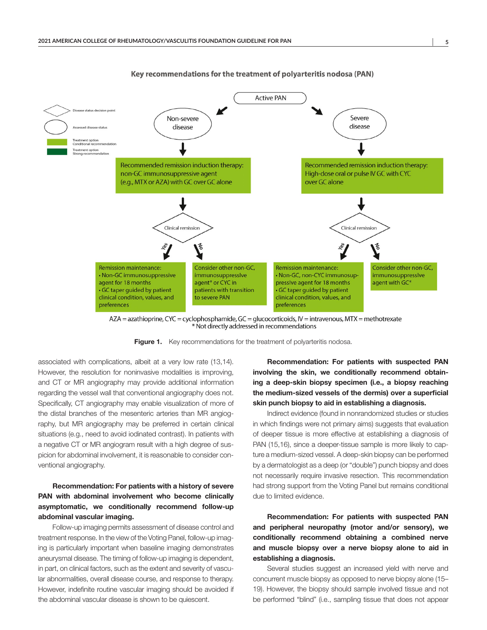

Key recommendations for the treatment of polyarteritis nodosa (PAN)

AZA = azathioprine, CYC = cyclophosphamide, GC = glucocorticoids, IV = intravenous, MTX = methotrexate Not directly addressed in recommendations

Figure 1. Key recommendations for the treatment of polyarteritis nodosa.

associated with complications, albeit at a very low rate (13,14). However, the resolution for noninvasive modalities is improving, and CT or MR angiography may provide additional information regarding the vessel wall that conventional angiography does not. Specifically, CT angiography may enable visualization of more of the distal branches of the mesenteric arteries than MR angiography, but MR angiography may be preferred in certain clinical situations (e.g., need to avoid iodinated contrast). In patients with a negative CT or MR angiogram result with a high degree of suspicion for abdominal involvement, it is reasonable to consider conventional angiography.

# Recommendation: For patients with a history of severe PAN with abdominal involvement who become clinically asymptomatic, we conditionally recommend follow-up abdominal vascular imaging.

Follow-up imaging permits assessment of disease control and treatment response. In the view of the Voting Panel, follow-up imaging is particularly important when baseline imaging demonstrates aneurysmal disease. The timing of follow-up imaging is dependent, in part, on clinical factors, such as the extent and severity of vascular abnormalities, overall disease course, and response to therapy. However, indefinite routine vascular imaging should be avoided if the abdominal vascular disease is shown to be quiescent.

Recommendation: For patients with suspected PAN involving the skin, we conditionally recommend obtaining a deep-skin biopsy specimen (i.e., a biopsy reaching the medium-sized vessels of the dermis) over a superficial skin punch biopsy to aid in establishing a diagnosis.

Indirect evidence (found in nonrandomized studies or studies in which findings were not primary aims) suggests that evaluation of deeper tissue is more effective at establishing a diagnosis of PAN (15,16), since a deeper-tissue sample is more likely to capture a medium-sized vessel. A deep-skin biopsy can be performed by a dermatologist as a deep (or "double") punch biopsy and does not necessarily require invasive resection. This recommendation had strong support from the Voting Panel but remains conditional due to limited evidence.

Recommendation: For patients with suspected PAN and peripheral neuropathy (motor and/or sensory), we conditionally recommend obtaining a combined nerve and muscle biopsy over a nerve biopsy alone to aid in establishing a diagnosis.

Several studies suggest an increased yield with nerve and concurrent muscle biopsy as opposed to nerve biopsy alone (15– 19). However, the biopsy should sample involved tissue and not be performed "blind" (i.e., sampling tissue that does not appear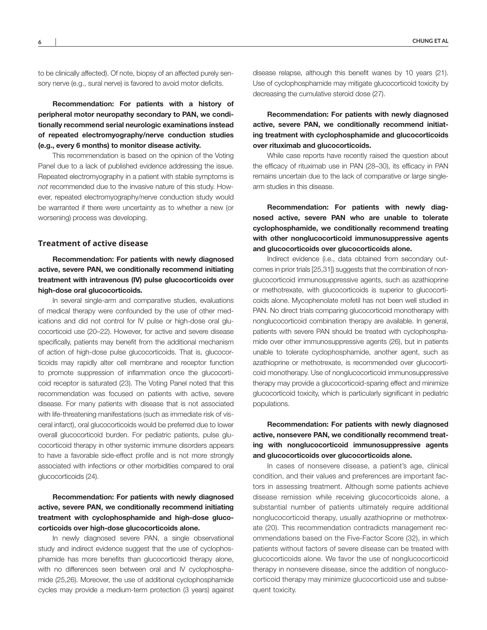to be clinically affected). Of note, biopsy of an affected purely sensory nerve (e.g., sural nerve) is favored to avoid motor deficits.

Recommendation: For patients with a history of peripheral motor neuropathy secondary to PAN, we conditionally recommend serial neurologic examinations instead of repeated electromyography/nerve conduction studies (e.g., every 6 months) to monitor disease activity.

This recommendation is based on the opinion of the Voting Panel due to a lack of published evidence addressing the issue. Repeated electromyography in a patient with stable symptoms is *not* recommended due to the invasive nature of this study. However, repeated electromyography/nerve conduction study would be warranted if there were uncertainty as to whether a new (or worsening) process was developing.

# **Treatment of active disease**

Recommendation: For patients with newly diagnosed active, severe PAN, we conditionally recommend initiating treatment with intravenous (IV) pulse glucocorticoids over high-dose oral glucocorticoids.

In several single-arm and comparative studies, evaluations of medical therapy were confounded by the use of other medications and did not control for IV pulse or high-dose oral glucocorticoid use (20–22). However, for active and severe disease specifically, patients may benefit from the additional mechanism of action of high-dose pulse glucocorticoids. That is, glucocorticoids may rapidly alter cell membrane and receptor function to promote suppression of inflammation once the glucocorticoid receptor is saturated (23). The Voting Panel noted that this recommendation was focused on patients with active, severe disease. For many patients with disease that is not associated with life-threatening manifestations (such as immediate risk of visceral infarct), oral glucocorticoids would be preferred due to lower overall glucocorticoid burden. For pediatric patients, pulse glucocorticoid therapy in other systemic immune disorders appears to have a favorable side-effect profile and is not more strongly associated with infections or other morbidities compared to oral glucocorticoids (24).

Recommendation: For patients with newly diagnosed active, severe PAN, we conditionally recommend initiating treatment with cyclophosphamide and high-dose glucocorticoids over high-dose glucocorticoids alone.

In newly diagnosed severe PAN, a single observational study and indirect evidence suggest that the use of cyclophosphamide has more benefits than glucocorticoid therapy alone, with no differences seen between oral and IV cyclophosphamide (25,26). Moreover, the use of additional cyclophosphamide cycles may provide a medium-term protection (3 years) against

disease relapse, although this benefit wanes by 10 years (21). Use of cyclophosphamide may mitigate glucocorticoid toxicity by decreasing the cumulative steroid dose (27).

Recommendation: For patients with newly diagnosed active, severe PAN, we conditionally recommend initiating treatment with cyclophosphamide and glucocorticoids over rituximab and glucocorticoids.

While case reports have recently raised the question about the efficacy of rituximab use in PAN (28–30), its efficacy in PAN remains uncertain due to the lack of comparative or large singlearm studies in this disease.

Recommendation: For patients with newly diagnosed active, severe PAN who are unable to tolerate cyclophosphamide, we conditionally recommend treating with other nonglucocorticoid immunosuppressive agents and glucocorticoids over glucocorticoids alone.

Indirect evidence (i.e., data obtained from secondary outcomes in prior trials [25,31]) suggests that the combination of nonglucocorticoid immunosuppressive agents, such as azathioprine or methotrexate, with glucocorticoids is superior to glucocorticoids alone. Mycophenolate mofetil has not been well studied in PAN. No direct trials comparing glucocorticoid monotherapy with nonglucocorticoid combination therapy are available. In general, patients with severe PAN should be treated with cyclophosphamide over other immunosuppressive agents (26), but in patients unable to tolerate cyclophosphamide, another agent, such as azathioprine or methotrexate, is recommended over glucocorticoid monotherapy. Use of nonglucocorticoid immunosuppressive therapy may provide a glucocorticoid-sparing effect and minimize glucocorticoid toxicity, which is particularly significant in pediatric populations.

Recommendation: For patients with newly diagnosed active, nonsevere PAN, we conditionally recommend treating with nonglucocorticoid immunosuppressive agents and glucocorticoids over glucocorticoids alone.

In cases of nonsevere disease, a patient's age, clinical condition, and their values and preferences are important factors in assessing treatment. Although some patients achieve disease remission while receiving glucocorticoids alone, a substantial number of patients ultimately require additional nonglucocorticoid therapy, usually azathioprine or methotrexate (20). This recommendation contradicts management recommendations based on the Five-Factor Score (32), in which patients without factors of severe disease can be treated with glucocorticoids alone. We favor the use of nonglucocorticoid therapy in nonsevere disease, since the addition of nonglucocorticoid therapy may minimize glucocorticoid use and subsequent toxicity.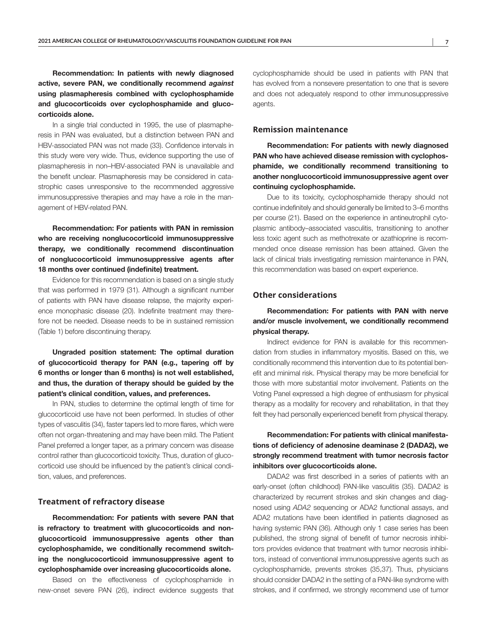Recommendation: In patients with newly diagnosed active, severe PAN, we conditionally recommend *against* using plasmapheresis combined with cyclophosphamide and glucocorticoids over cyclophosphamide and glucocorticoids alone.

In a single trial conducted in 1995, the use of plasmapheresis in PAN was evaluated, but a distinction between PAN and HBV-associated PAN was not made (33). Confidence intervals in this study were very wide. Thus, evidence supporting the use of plasmapheresis in non–HBV-associated PAN is unavailable and the benefit unclear. Plasmapheresis may be considered in catastrophic cases unresponsive to the recommended aggressive immunosuppressive therapies and may have a role in the management of HBV-related PAN.

Recommendation: For patients with PAN in remission who are receiving nonglucocorticoid immunosuppressive therapy, we conditionally recommend discontinuation of nonglucocorticoid immunosuppressive agents after 18 months over continued (indefinite) treatment.

Evidence for this recommendation is based on a single study that was performed in 1979 (31). Although a significant number of patients with PAN have disease relapse, the majority experience monophasic disease (20). Indefinite treatment may therefore not be needed. Disease needs to be in sustained remission (Table 1) before discontinuing therapy.

Ungraded position statement: The optimal duration of glucocorticoid therapy for PAN (e.g., tapering off by 6 months or longer than 6 months) is not well established, and thus, the duration of therapy should be guided by the patient's clinical condition, values, and preferences.

In PAN, studies to determine the optimal length of time for glucocorticoid use have not been performed. In studies of other types of vasculitis (34), faster tapers led to more flares, which were often not organ-threatening and may have been mild. The Patient Panel preferred a longer taper, as a primary concern was disease control rather than glucocorticoid toxicity. Thus, duration of glucocorticoid use should be influenced by the patient's clinical condition, values, and preferences.

#### **Treatment of refractory disease**

Recommendation: For patients with severe PAN that is refractory to treatment with glucocorticoids and nonglucocorticoid immunosuppressive agents other than cyclophosphamide, we conditionally recommend switching the nonglucocorticoid immunosuppressive agent to cyclophosphamide over increasing glucocorticoids alone.

Based on the effectiveness of cyclophosphamide in new-onset severe PAN (26), indirect evidence suggests that

cyclophosphamide should be used in patients with PAN that has evolved from a nonsevere presentation to one that is severe and does not adequately respond to other immunosuppressive agents.

## **Remission maintenance**

Recommendation: For patients with newly diagnosed PAN who have achieved disease remission with cyclophosphamide, we conditionally recommend transitioning to another nonglucocorticoid immunosuppressive agent over continuing cyclophosphamide.

Due to its toxicity, cyclophosphamide therapy should not continue indefinitely and should generally be limited to 3–6 months per course (21). Based on the experience in antineutrophil cytoplasmic antibody–associated vasculitis, transitioning to another less toxic agent such as methotrexate or azathioprine is recommended once disease remission has been attained. Given the lack of clinical trials investigating remission maintenance in PAN, this recommendation was based on expert experience.

## **Other considerations**

Recommendation: For patients with PAN with nerve and/or muscle involvement, we conditionally recommend physical therapy.

Indirect evidence for PAN is available for this recommendation from studies in inflammatory myositis. Based on this, we conditionally recommend this intervention due to its potential benefit and minimal risk. Physical therapy may be more beneficial for those with more substantial motor involvement. Patients on the Voting Panel expressed a high degree of enthusiasm for physical therapy as a modality for recovery and rehabilitation, in that they felt they had personally experienced benefit from physical therapy.

Recommendation: For patients with clinical manifestations of deficiency of adenosine deaminase 2 (DADA2), we strongly recommend treatment with tumor necrosis factor inhibitors over glucocorticoids alone.

DADA2 was first described in a series of patients with an early-onset (often childhood) PAN-like vasculitis (35). DADA2 is characterized by recurrent strokes and skin changes and diagnosed using *ADA2* sequencing or ADA2 functional assays, and ADA2 mutations have been identified in patients diagnosed as having systemic PAN (36). Although only 1 case series has been published, the strong signal of benefit of tumor necrosis inhibitors provides evidence that treatment with tumor necrosis inhibitors, instead of conventional immunosuppressive agents such as cyclophosphamide, prevents strokes (35,37). Thus, physicians should consider DADA2 in the setting of a PAN-like syndrome with strokes, and if confirmed, we strongly recommend use of tumor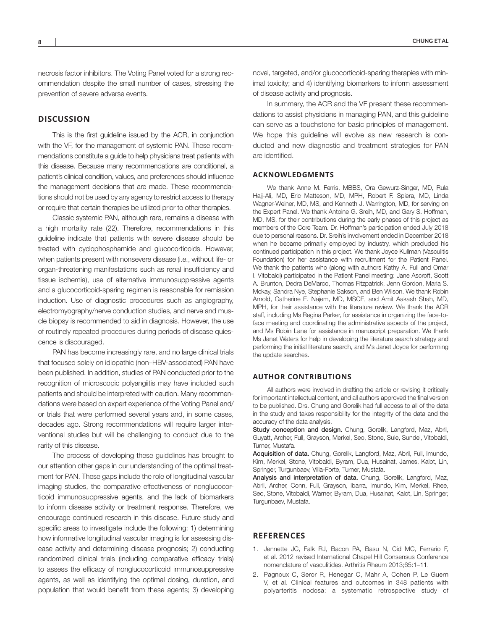necrosis factor inhibitors. The Voting Panel voted for a strong recommendation despite the small number of cases, stressing the prevention of severe adverse events.

# **DISCUSSION**

This is the first guideline issued by the ACR, in conjunction with the VF, for the management of systemic PAN. These recommendations constitute a guide to help physicians treat patients with this disease. Because many recommendations are conditional, a patient's clinical condition, values, and preferences should influence the management decisions that are made. These recommendations should not be used by any agency to restrict access to therapy or require that certain therapies be utilized prior to other therapies.

Classic systemic PAN, although rare, remains a disease with a high mortality rate (22). Therefore, recommendations in this guideline indicate that patients with severe disease should be treated with cyclophosphamide and glucocorticoids. However, when patients present with nonsevere disease (i.e., without life- or organ-threatening manifestations such as renal insufficiency and tissue ischemia), use of alternative immunosuppressive agents and a glucocorticoid-sparing regimen is reasonable for remission induction. Use of diagnostic procedures such as angiography, electromyography/nerve conduction studies, and nerve and muscle biopsy is recommended to aid in diagnosis. However, the use of routinely repeated procedures during periods of disease quiescence is discouraged.

PAN has become increasingly rare, and no large clinical trials that focused solely on idiopathic (non–HBV-associated) PAN have been published. In addition, studies of PAN conducted prior to the recognition of microscopic polyangiitis may have included such patients and should be interpreted with caution. Many recommendations were based on expert experience of the Voting Panel and/ or trials that were performed several years and, in some cases, decades ago. Strong recommendations will require larger interventional studies but will be challenging to conduct due to the rarity of this disease.

The process of developing these guidelines has brought to our attention other gaps in our understanding of the optimal treatment for PAN. These gaps include the role of longitudinal vascular imaging studies, the comparative effectiveness of nonglucocorticoid immunosuppressive agents, and the lack of biomarkers to inform disease activity or treatment response. Therefore, we encourage continued research in this disease. Future study and specific areas to investigate include the following: 1) determining how informative longitudinal vascular imaging is for assessing disease activity and determining disease prognosis; 2) conducting randomized clinical trials (including comparative efficacy trials) to assess the efficacy of nonglucocorticoid immunosuppressive agents, as well as identifying the optimal dosing, duration, and population that would benefit from these agents; 3) developing

novel, targeted, and/or glucocorticoid-sparing therapies with minimal toxicity; and 4) identifying biomarkers to inform assessment of disease activity and prognosis.

In summary, the ACR and the VF present these recommendations to assist physicians in managing PAN, and this guideline can serve as a touchstone for basic principles of management. We hope this guideline will evolve as new research is conducted and new diagnostic and treatment strategies for PAN are identified.

## **ACKNOWLEDGMENTS**

We thank Anne M. Ferris, MBBS, Ora Gewurz-Singer, MD, Rula Hajj-Ali, MD, Eric Matteson, MD, MPH, Robert F. Spiera, MD, Linda Wagner-Weiner, MD, MS, and Kenneth J. Warrington, MD, for serving on the Expert Panel. We thank Antoine G. Sreih, MD, and Gary S. Hoffman, MD, MS, for their contributions during the early phases of this project as members of the Core Team. Dr. Hoffman's participation ended July 2018 due to personal reasons. Dr. Sreih's involvement ended in December 2018 when he became primarily employed by industry, which precluded his continued participation in this project. We thank Joyce Kullman (Vasculitis Foundation) for her assistance with recruitment for the Patient Panel. We thank the patients who (along with authors Kathy A. Full and Omar I. Vitobaldi) participated in the Patient Panel meeting: Jane Ascroft, Scott A. Brunton, Dedra DeMarco, Thomas Fitzpatrick, Jenn Gordon, Maria S. Mckay, Sandra Nye, Stephanie Sakson, and Ben Wilson. We thank Robin Arnold, Catherine E. Najem, MD, MSCE, and Amit Aakash Shah, MD, MPH, for their assistance with the literature review. We thank the ACR staff, including Ms Regina Parker, for assistance in organizing the face-toface meeting and coordinating the administrative aspects of the project, and Ms Robin Lane for assistance in manuscript preparation. We thank Ms Janet Waters for help in developing the literature search strategy and performing the initial literature search, and Ms Janet Joyce for performing the update searches.

#### **AUTHOR CONTRIBUTIONS**

All authors were involved in drafting the article or revising it critically for important intellectual content, and all authors approved the final version to be published. Drs. Chung and Gorelik had full access to all of the data in the study and takes responsibility for the integrity of the data and the accuracy of the data analysis.

Study conception and design. Chung, Gorelik, Langford, Maz, Abril, Guyatt, Archer, Full, Grayson, Merkel, Seo, Stone, Sule, Sundel, Vitobaldi, Turner, Mustafa.

Acquisition of data. Chung, Gorelik, Langford, Maz, Abril, Full, Imundo, Kim, Merkel, Stone, Vitobaldi, Byram, Dua, Husainat, James, Kalot, Lin, Springer, Turgunbaev, Villa-Forte, Turner, Mustafa.

Analysis and interpretation of data. Chung, Gorelik, Langford, Maz, Abril, Archer, Conn, Full, Grayson, Ibarra, Imundo, Kim, Merkel, Rhee, Seo, Stone, Vitobaldi, Warner, Byram, Dua, Husainat, Kalot, Lin, Springer, Turgunbaev, Mustafa.

# **REFERENCES**

- 1. Jennette JC, Falk RJ, Bacon PA, Basu N, Cid MC, Ferrario F, et al. 2012 revised International Chapel Hill Consensus Conference nomenclature of vasculitides. Arthritis Rheum 2013;65:1–11.
- 2. Pagnoux C, Seror R, Henegar C, Mahr A, Cohen P, Le Guern V, et al. Clinical features and outcomes in 348 patients with polyarteritis nodosa: a systematic retrospective study of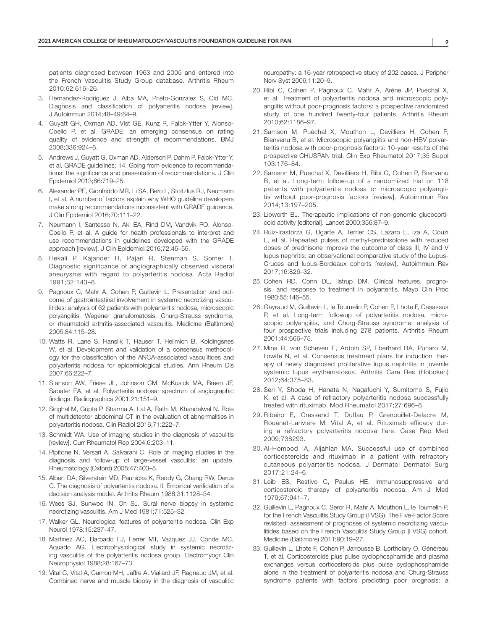patients diagnosed between 1963 and 2005 and entered into the French Vasculitis Study Group database. Arthritis Rheum 2010;62:616–26.

- 3. Hernandez-Rodriguez J, Alba MA, Prieto-Gonzalez S, Cid MC. Diagnosis and classification of polyarteritis nodosa [review]. J Autoimmun 2014;48–49:84–9.
- 4. Guyatt GH, Oxman AD, Vist GE, Kunz R, Falck-Ytter Y, Alonso-Coello P, et al. GRADE: an emerging consensus on rating quality of evidence and strength of recommendations. BMJ 2008;336:924–6.
- 5. Andrews J, Guyatt G, Oxman AD, Alderson P, Dahm P, Falck-Ytter Y, et al. GRADE guidelines: 14. Going from evidence to recommendations: the significance and presentation of recommendations. J Clin Epidemiol 2013;66:719–25.
- 6. Alexander PE, Gionfriddo MR, Li SA, Bero L, Stoltzfus RJ, Neumann I, et al. A number of factors explain why WHO guideline developers make strong recommendations inconsistent with GRADE guidance. J Clin Epidemiol 2016;70:111–22.
- 7. Neumann I, Santesso N, Akl EA, Rind DM, Vandvik PO, Alonso-Coello P, et al. A guide for health professionals to interpret and use recommendations in guidelines developed with the GRADE approach [review]. J Clin Epidemiol 2016;72:45–55.
- 8. Hekali P, Kajander H, Pajari R, Stenman S, Somer T. Diagnostic significance of angiographically observed visceral aneurysms with regard to polyarteritis nodosa. Acta Radiol 1991;32:143–8.
- 9. Pagnoux C, Mahr A, Cohen P, Guillevin L. Presentation and outcome of gastrointestinal involvement in systemic necrotizing vasculitides: analysis of 62 patients with polyarteritis nodosa, microscopic polyangiitis, Wegener granulomatosis, Churg-Strauss syndrome, or rheumatoid arthritis-associated vasculitis. Medicine (Baltimore) 2005;84:115–28.
- 10. Watts R, Lane S, Hanslik T, Hauser T, Hellmich B, Koldingsnes W, et al. Development and validation of a consensus methodology for the classification of the ANCA-associated vasculitides and polyarteritis nodosa for epidemiological studies. Ann Rheum Dis 2007;66:222–7.
- 11. Stanson AW, Friese JL, Johnson CM, McKusick MA, Breen JF, Sabater EA, et al. Polyarteritis nodosa: spectrum of angiographic findings. Radiographics 2001;21:151–9.
- 12. Singhal M, Gupta P, Sharma A, Lal A, Rathi M, Khandelwal N. Role of multidetector abdominal CT in the evaluation of abnormalities in polyarteritis nodosa. Clin Radiol 2016;71:222–7.
- 13. Schmidt WA. Use of imaging studies in the diagnosis of vasculitis [review]. Curr Rheumatol Rep 2004;6:203–11.
- 14. Pipitone N, Versari A, Salvarani C. Role of imaging studies in the diagnosis and follow-up of large-vessel vasculitis: an update. Rheumatology (Oxford) 2008;47:403–8.
- 15. Albert DA, Silverstein MD, Paunicka K, Reddy G, Chang RW, Derus C. The diagnosis of polyarteritis nodosa. II. Empirical verification of a decision analysis model. Arthritis Rheum 1988;31:1128–34.
- 16. Wees SJ, Sunwoo IN, Oh SJ. Sural nerve biopsy in systemic necrotizing vasculitis. Am J Med 1981;71:525–32.
- 17. Walker GL. Neurological features of polyarteritis nodosa. Clin Exp Neurol 1978;15:237–47.
- 18. Martinez AC, Barbado FJ, Ferrer MT, Vazquez JJ, Conde MC, Aquado AG. Electrophysiological study in systemic necrotizing vasculitis of the polyarteritis nodosa group. Electromyogr Clin Neurophysiol 1988;28:167–73.
- 19. Vital C, Vital A, Canron MH, Jaffre A, Viallard JF, Ragnaud JM, et al. Combined nerve and muscle biopsy in the diagnosis of vasculitic

neuropathy: a 16-year retrospective study of 202 cases. J Peripher Nerv Syst 2006;11:20–9.

- 20. Ribi C, Cohen P, Pagnoux C, Mahr A, Arène JP, Puéchal X, et al. Treatment of polyarteritis nodosa and microscopic polyangiitis without poor-prognosis factors: a prospective randomized study of one hundred twenty-four patients. Arthritis Rheum 2010;62:1186–97.
- 21. Samson M, Puéchal X, Mouthon L, Devilliers H, Cohen P, Bienvenu B, et al. Microscopic polyangiitis and non-HBV polyarteritis nodosa with poor-prognosis factors: 10-year results of the prospective CHUSPAN trial. Clin Exp Rheumatol 2017;35 Suppl 103:176–84.
- 22. Samson M, Puechal X, Devilliers H, Ribi C, Cohen P, Bienvenu B, et al. Long-term follow-up of a randomized trial on 118 patients with polyarteritis nodosa or microscopic polyangiitis without poor-prognosis factors [review]. Autoimmun Rev 2014;13:197–205.
- 23. Lipworth BJ. Therapeutic implications of non-genomic glucocorticoid activity [editorial]. Lancet 2000;356:87–9.
- 24. Ruiz-Irastorza G, Ugarte A, Terrier CS, Lazaro E, Iza A, Couzi L, et al. Repeated pulses of methyl-prednisolone with reduced doses of prednisone improve the outcome of class III, IV and V lupus nephritis: an observational comparative study of the Lupus-Cruces and lupus-Bordeaux cohorts [review]. Autoimmun Rev 2017;16:826–32.
- 25. Cohen RD, Conn DL, Ilstrup DM. Clinical features, prognosis, and response to treatment in polyarteritis. Mayo Clin Proc 1980;55:146–55.
- 26. Gayraud M, Guillevin L, le Toumelin P, Cohen P, Lhote F, Casassus P, et al. Long-term followup of polyarteritis nodosa, microscopic polyangiitis, and Churg-Strauss syndrome: analysis of four prospective trials including 278 patients. Arthritis Rheum 2001;44:666–75.
- 27. Mina R, von Scheven E, Ardoin SP, Eberhard BA, Punaro M, Ilowite N, et al. Consensus treatment plans for induction therapy of newly diagnosed proliferative lupus nephritis in juvenile systemic lupus erythematosus. Arthritis Care Res (Hoboken) 2012;64:375–83.
- 28. Seri Y, Shoda H, Hanata N, Nagafuchi Y, Sumitomo S, Fujio K, et al. A case of refractory polyarteritis nodosa successfully treated with rituximab. Mod Rheumatol 2017;27:696–8.
- 29. Ribeiro E, Cressend T, Duffau P, Grenouillet-Delacre M, Rouanet-Larivière M, Vital A, et al. Rituximab efficacy during a refractory polyarteritis nodosa flare. Case Rep Med 2009;738293.
- 30. Al-Homood IA, Aljahlan MA. Successful use of combined corticosteroids and rituximab in a patient with refractory cutaneous polyarteritis nodosa. J Dermatol Dermatol Surg 2017;21:24–6.
- 31. Leib ES, Restivo C, Paulus HE. Immunosuppressive and corticosteroid therapy of polyarteritis nodosa. Am J Med 1979;67:941–7.
- 32. Guillevin L, Pagnoux C, Seror R, Mahr A, Mouthon L, le Toumelin P, for the French Vasculitis Study Group (FVSG). The Five-Factor Score revisited: assessment of prognoses of systemic necrotizing vasculitides based on the French Vasculitis Study Group (FVSG) cohort. Medicine (Baltimore) 2011;90:19–27.
- 33. Guillevin L, Lhote F, Cohen P, Jarrousse B, Lortholary O, Généreau T, et al. Corticosteroids plus pulse cyclophosphamide and plasma exchanges versus corticosteroids plus pulse cyclophosphamide alone in the treatment of polyarteritis nodosa and Churg-Strauss syndrome patients with factors predicting poor prognosis: a